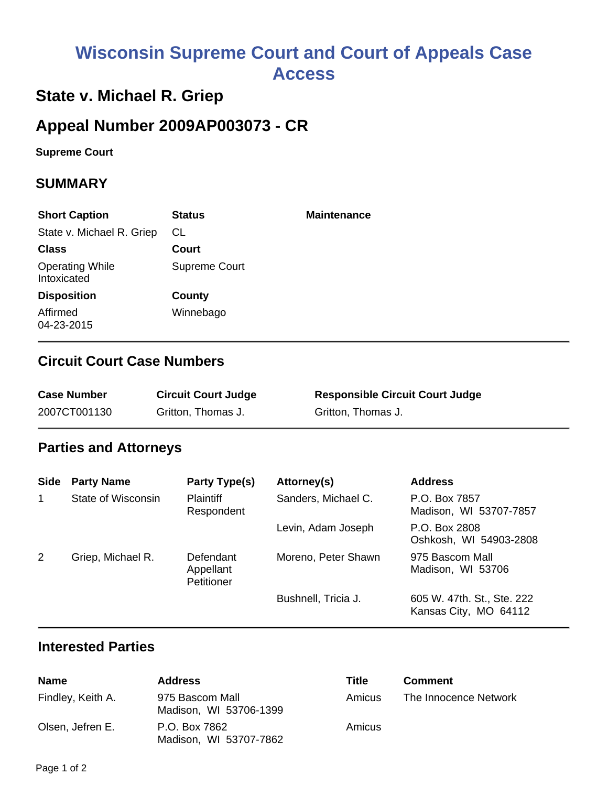# **Wisconsin Supreme Court and Court of Appeals Case Access**

# **State v. Michael R. Griep**

# **Appeal Number 2009AP003073 - CR**

**Supreme Court** 

### **SUMMARY**

| <b>Short Caption</b>                  | <b>Status</b>        | <b>Maintenance</b> |
|---------------------------------------|----------------------|--------------------|
| State v. Michael R. Griep             | CL.                  |                    |
| <b>Class</b>                          | Court                |                    |
| <b>Operating While</b><br>Intoxicated | <b>Supreme Court</b> |                    |
| <b>Disposition</b>                    | County               |                    |
| Affirmed<br>04-23-2015                | Winnebago            |                    |

### **Circuit Court Case Numbers**

| <b>Case Number</b> | <b>Circuit Court Judge</b> | <b>Responsible Circuit Court Judge</b> |
|--------------------|----------------------------|----------------------------------------|
| 2007CT001130       | Gritton, Thomas J.         | Gritton, Thomas J.                     |

### **Parties and Attorneys**

| <b>Side</b> | <b>Party Name</b>  | Party Type(s)                        | Attorney(s)         | <b>Address</b>                                      |
|-------------|--------------------|--------------------------------------|---------------------|-----------------------------------------------------|
| $\mathbf 1$ | State of Wisconsin | <b>Plaintiff</b><br>Respondent       | Sanders, Michael C. | P.O. Box 7857<br>Madison, WI 53707-7857             |
|             |                    |                                      | Levin, Adam Joseph  | P.O. Box 2808<br>Oshkosh, WI 54903-2808             |
| 2           | Griep, Michael R.  | Defendant<br>Appellant<br>Petitioner | Moreno, Peter Shawn | 975 Bascom Mall<br>Madison, WI 53706                |
|             |                    |                                      | Bushnell, Tricia J. | 605 W. 47th. St., Ste. 222<br>Kansas City, MO 64112 |

#### **Interested Parties**

| Name              | <b>Address</b>                            | Title  | <b>Comment</b>        |
|-------------------|-------------------------------------------|--------|-----------------------|
| Findley, Keith A. | 975 Bascom Mall<br>Madison, WI 53706-1399 | Amicus | The Innocence Network |
| Olsen, Jefren E.  | P.O. Box 7862<br>Madison, WI 53707-7862   | Amicus |                       |